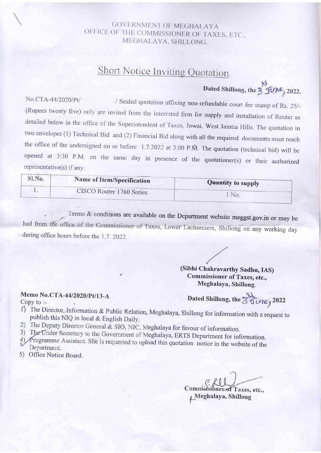### GOVERNMENT OF MEGHALAYA OFFICE OF THE COMMISSIONER OF TAXES, ETC., MEGFIALAYA. SHILLONG.

# Short Notice Inviting Quotation.

Dated Shillong, the 3 June, 2022.

No.CTA-44/2020/Pt/ / Sealed quotation affixing non-refundable court fee stamp of Rs. 25/-<br>(Rupees twenty five) only are invited from the interested firm for supply and installation of Router as detailed below in the office of the Superintendent of Taxes, Jowai. West Jaintia Hills. The quotation in two envelopes (1) Technical Bid and (2) Financial Bid along with all the required documents must reach the office of the undersigned on or before  $1.7.2022$  at 3:00 P.M. The quotation (technical bid) will be opened at 3:30 P.M. on the same day in presence of the quotationer(s) or their authorized representative(s) if any.

| Sl.No. | Name of Item/Specification | <b>Quantity to supply</b> |  |
|--------|----------------------------|---------------------------|--|
|        | CISCO Router 1760 Series   |                           |  |

.? Terms & conditions are available on the Department website meggst.gov.in or may be had from the office of the Commissioner of Taxes; Lower Lachumiere, Shillong on any working day during office hours before the 1.7. 2022.

#### (Sibhi Chakravarthy Sadhu, IAS) Commissioner of Taxes, etc., Meghalaya, Shillong.

## Memo No.CTA-44/2020/Pt/13-A

Dated Shillong, the 3 fone, 2022

Copy to :-

- 1) The Director, Information & Public Relation, Meghalaya, Shillong for information with a request to publish this NIQ in local & English Daily.
- 2) The Deputy Director General & SIO, NIC, Meghalaya for favour of information.
- 3) The Under Secretary to the Government of Meghalaya, ERTS Department for information.
- $\Lambda$   $\gamma$  rogramme Assistant. She is requested to upload this quotation notice in the website of the Department.
- 5) Office Notice Board.

Commissioner of Taxes, etc.,

Meghalaya, Shillong